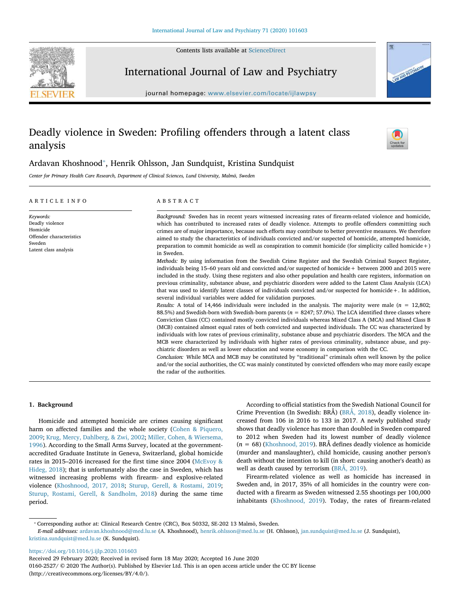Contents lists available at [ScienceDirect](http://www.sciencedirect.com/science/journal/01602527)





## International Journal of Law and Psychiatry

journal homepage: [www.elsevier.com/locate/ijlawpsy](https://www.elsevier.com/locate/ijlawpsy)

# Deadly violence in Sweden: Profiling offenders through a latent class analysis



## Ardavan Khoshnood<sup>\*</sup>, Henrik Ohlsson, Jan Sundquist, Kristina Sundquist

Center for Primary Health Care Research, Department of Clinical Sciences, Lund University, Malmö, Sweden

| ARTICLE INFO                                                                                            | ABSTRACT                                                                                                                                                                                                                                                                                                                                                                                                                                                                                                                                                                                                                                                                                                                                                                                                                                                                                                                                                                                                                                                                                                                                                                                                                                                                                                                                                                                                                                                                                                                                                                                                                                                                                                                                                                                                                                                                                                                                                                                                                                                                                                                                                                                                                                                                                                          |
|---------------------------------------------------------------------------------------------------------|-------------------------------------------------------------------------------------------------------------------------------------------------------------------------------------------------------------------------------------------------------------------------------------------------------------------------------------------------------------------------------------------------------------------------------------------------------------------------------------------------------------------------------------------------------------------------------------------------------------------------------------------------------------------------------------------------------------------------------------------------------------------------------------------------------------------------------------------------------------------------------------------------------------------------------------------------------------------------------------------------------------------------------------------------------------------------------------------------------------------------------------------------------------------------------------------------------------------------------------------------------------------------------------------------------------------------------------------------------------------------------------------------------------------------------------------------------------------------------------------------------------------------------------------------------------------------------------------------------------------------------------------------------------------------------------------------------------------------------------------------------------------------------------------------------------------------------------------------------------------------------------------------------------------------------------------------------------------------------------------------------------------------------------------------------------------------------------------------------------------------------------------------------------------------------------------------------------------------------------------------------------------------------------------------------------------|
| Keywords:<br>Deadly violence<br>Homicide<br>Offender characteristics<br>Sweden<br>Latent class analysis | Background: Sweden has in recent years witnessed increasing rates of firearm-related violence and homicide,<br>which has contributed to increased rates of deadly violence. Attempts to profile offenders committing such<br>crimes are of major importance, because such efforts may contribute to better preventive measures. We therefore<br>aimed to study the characteristics of individuals convicted and/or suspected of homicide, attempted homicide,<br>preparation to commit homicide as well as conspiration to commit homicide (for simplicity called homicide +)<br>in Sweden.<br>Methods: By using information from the Swedish Crime Register and the Swedish Criminal Suspect Register,<br>individuals being 15–60 years old and convicted and/or suspected of homicide + between 2000 and 2015 were<br>included in the study. Using these registers and also other population and health care registers, information on<br>previous criminality, substance abuse, and psychiatric disorders were added to the Latent Class Analysis (LCA)<br>that was used to identify latent classes of individuals convicted and/or suspected for homicide +. In addition,<br>several individual variables were added for validation purposes.<br>Results: A total of 14,466 individuals were included in the analysis. The majority were male ( $n = 12,802$ ;<br>88.5%) and Swedish-born with Swedish-born parents ( $n = 8247$ ; 57.0%). The LCA identified three classes where<br>Conviction Class (CC) contained mostly convicted individuals whereas Mixed Class A (MCA) and Mixed Class B<br>(MCB) contained almost equal rates of both convicted and suspected individuals. The CC was characterized by<br>individuals with low rates of previous criminality, substance abuse and psychiatric disorders. The MCA and the<br>MCB were characterized by individuals with higher rates of previous criminality, substance abuse, and psy-<br>chiatric disorders as well as lower education and worse economy in comparison with the CC.<br>Conclusion: While MCA and MCB may be constituted by "traditional" criminals often well known by the police<br>and/or the social authorities, the CC was mainly constituted by convicted offenders who may more easily escape<br>the radar of the authorities. |

## 1. Background

Homicide and attempted homicide are crimes causing significant harm on affected families and the whole society ([Cohen & Piquero,](#page-6-0) [2009;](#page-6-0) [Krug, Mercy, Dahlberg, & Zwi, 2002](#page-7-0); [Miller, Cohen, & Wiersema,](#page-7-1) [1996\)](#page-7-1). According to the Small Arms Survey, located at the governmentaccredited Graduate Institute in Geneva, Switzerland, global homicide rates in 2015–2016 increased for the first time since 2004 [\(McEvoy &](#page-7-2) [Hideg, 2018](#page-7-2)); that is unfortunately also the case in Sweden, which has witnessed increasing problems with firearm- and explosive-related violence ([Khoshnood, 2017, 2018](#page-6-1); [Sturup, Gerell, & Rostami, 2019](#page-7-3); [Sturup, Rostami, Gerell, & Sandholm, 2018](#page-7-4)) during the same time period.

According to official statistics from the Swedish National Council for Crime Prevention (In Swedish: BRÅ) [\(BRÅ, 2018](#page-6-2)), deadly violence increased from 106 in 2016 to 133 in 2017. A newly published study shows that deadly violence has more than doubled in Sweden compared to 2012 when Sweden had its lowest number of deadly violence  $(n = 68)$  ([Khoshnood, 2019\)](#page-7-5). BRÅ defines deadly violence as homicide (murder and manslaughter), child homicide, causing another person's death without the intention to kill (in short: causing another's death) as well as death caused by terrorism ([BRÅ, 2019\)](#page-6-3).

Firearm-related violence as well as homicide has increased in Sweden and, in 2017, 35% of all homicides in the country were conducted with a firearm as Sweden witnessed 2.55 shootings per 100,000 inhabitants ([Khoshnood, 2019\)](#page-7-5). Today, the rates of firearm-related

<span id="page-0-0"></span>⁎ Corresponding author at: Clinical Research Centre (CRC), Box 50332, SE-202 13 Malmö, Sweden.

E-mail addresses: [ardavan.khoshnood@med.lu.se](mailto:ardavan.khoshnood@med.lu.se) (A. Khoshnood), [henrik.ohlsson@med.lu.se](mailto:henrik.ohlsson@med.lu.se) (H. Ohlsson), [jan.sundquist@med.lu.se](mailto:jan.sundquist@med.lu.se) (J. Sundquist), [kristina.sundquist@med.lu.se](mailto:kristina.sundquist@med.lu.se) (K. Sundquist).

<https://doi.org/10.1016/j.ijlp.2020.101603>

Received 29 February 2020; Received in revised form 18 May 2020; Accepted 16 June 2020

0160-2527/ © 2020 The Author(s). Published by Elsevier Ltd. This is an open access article under the CC BY license (http://creativecommons.org/licenses/BY/4.0/).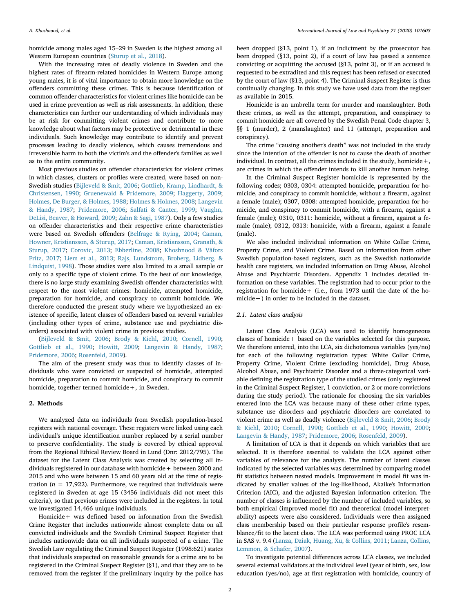homicide among males aged 15–29 in Sweden is the highest among all Western European countries [\(Sturup et al., 2018](#page-7-6)).

With the increasing rates of deadly violence in Sweden and the highest rates of firearm-related homicides in Western Europe among young males, it is of vital importance to obtain more knowledge on the offenders committing these crimes. This is because identification of common offender characteristics for violent crimes like homicide can be used in crime prevention as well as risk assessments. In addition, these characteristics can further our understanding of which individuals may be at risk for committing violent crimes and contribute to more knowledge about what factors may be protective or detrimental in these individuals. Such knowledge may contribute to identify and prevent processes leading to deadly violence, which causes tremendous and irreversible harm to both the victim's and the offender's families as well as to the entire community.

Most previous studies on offender characteristics for violent crimes in which classes, clusters or profiles were created, were based on non-Swedish studies ([Bijleveld & Smit, 2006](#page-6-4); [Gottlieb, Kramp, Lindhardt, &](#page-6-5) [Christensen, 1990](#page-6-5); [Gruenewald & Pridemore, 2009](#page-6-6); [Haggerty, 2009](#page-6-7); [Holmes, De Burger, & Holmes, 1988;](#page-6-8) [Holmes & Holmes, 2008](#page-6-9); [Langevin](#page-7-7) [& Handy, 1987;](#page-7-7) [Pridemore, 2006](#page-7-8); [Salfati & Canter, 1999;](#page-7-9) [Vaughn,](#page-7-10) [DeLisi, Beaver, & Howard, 2009](#page-7-10); [Zahn & Sagi, 1987\)](#page-7-11). Only a few studies on offender characteristics and their respective crime characteristics were based on Swedish offenders [\(Belfrage & Rying, 2004;](#page-6-10) [Caman,](#page-6-11) [Howner, Kristiansson, & Sturup, 2017](#page-6-11); [Caman, Kristiansson, Granath, &](#page-6-12) [Sturup, 2017](#page-6-12); [Corovic, 2013;](#page-6-13) [Ebberline, 2008;](#page-6-14) [Khoshnood & Väfors](#page-7-12) [Fritz, 2017;](#page-7-12) [Liem et al., 2013;](#page-7-13) [Rajs, Lundstrom, Broberg, Lidberg, &](#page-7-14) [Lindquist, 1998](#page-7-14)). Those studies were also limited to a small sample or only to a specific type of violent crime. To the best of our knowledge, there is no large study examining Swedish offender characteristics with respect to the most violent crimes: homicide, attempted homicide, preparation for homicide, and conspiracy to commit homicide. We therefore conducted the present study where we hypothesized an existence of specific, latent classes of offenders based on several variables (including other types of crime, substance use and psychiatric disorders) associated with violent crime in previous studies.

[\(Bijleveld & Smit, 2006;](#page-6-4) [Brody & Kiehl, 2010](#page-6-15); [Cornell, 1990](#page-6-16); [Gottlieb et al., 1990;](#page-6-5) [Howitt, 2009;](#page-6-17) [Langevin & Handy, 1987](#page-7-7); [Pridemore, 2006](#page-7-8); [Rosenfeld, 2009](#page-7-15)).

The aim of the present study was thus to identify classes of individuals who were convicted or suspected of homicide, attempted homicide, preparation to commit homicide, and conspiracy to commit homicide, together termed homicide+, in Sweden.

### 2. Methods

We analyzed data on individuals from Swedish population-based registers with national coverage. These registers were linked using each individual's unique identification number replaced by a serial number to preserve confidentiality. The study is covered by ethical approval from the Regional Ethical Review Board in Lund (Dnr: 2012/795). The dataset for the Latent Class Analysis was created by selecting all individuals registered in our database with homicide+ between 2000 and 2015 and who were between 15 and 60 years old at the time of registration ( $n = 17,922$ ). Furthermore, we required that individuals were registered in Sweden at age 15 (3456 individuals did not meet this criteria), so that previous crimes were included in the registers. In total we investigated 14,466 unique individuals.

Homicide+ was defined based on information from the Swedish Crime Register that includes nationwide almost complete data on all convicted individuals and the Swedish Criminal Suspect Register that includes nationwide data on all individuals suspected of a crime. The Swedish Law regulating the Criminal Suspect Register (1998:621) states that individuals suspected on reasonable grounds for a crime are to be registered in the Criminal Suspect Register (§1), and that they are to be removed from the register if the preliminary inquiry by the police has been dropped (§13, point 1), if an indictment by the prosecutor has been dropped (§13, point 2), if a court of law has passed a sentence convicting or acquitting the accused (§13, point 3), or if an accused is requested to be extradited and this request has been refused or executed by the court of law (§13, point 4). The Criminal Suspect Register is thus continually changing. In this study we have used data from the register as available in 2015.

Homicide is an umbrella term for murder and manslaughter. Both these crimes, as well as the attempt, preparation, and conspiracy to commit homicide are all covered by the Swedish Penal Code chapter 3, §§ 1 (murder), 2 (manslaughter) and 11 (attempt, preparation and conspiracy).

The crime "causing another's death" was not included in the study since the intention of the offender is not to cause the death of another individual. In contrast, all the crimes included in the study, homicide  $+$ , are crimes in which the offender intends to kill another human being.

In the Criminal Suspect Register homicide is represented by the following codes; 0303, 0304: attempted homicide, preparation for homicide, and conspiracy to commit homicide, without a firearm, against a female (male); 0307, 0308: attempted homicide, preparation for homicide, and conspiracy to commit homicide, with a firearm, against a female (male); 0310, 0311: homicide, without a firearm, against a female (male); 0312, 0313: homicide, with a firearm, against a female (male).

We also included individual information on White Collar Crime, Property Crime, and Violent Crime. Based on information from other Swedish population-based registers, such as the Swedish nationwide health care registers, we included information on Drug Abuse, Alcohol Abuse and Psychiatric Disorders. Appendix 1 includes detailed information on these variables. The registration had to occur prior to the registration for homicide+ (i.e., from 1973 until the date of the homicide+) in order to be included in the dataset.

## 2.1. Latent class analysis

Latent Class Analysis (LCA) was used to identify homogeneous classes of homicide+ based on the variables selected for this purpose. We therefore entered, into the LCA, six dichotomous variables (yes/no) for each of the following registration types: White Collar Crime, Property Crime, Violent Crime (excluding homicide), Drug Abuse, Alcohol Abuse, and Psychiatric Disorder and a three-categorical variable defining the registration type of the studied crimes (only registered in the Criminal Suspect Register, 1 conviction, or 2 or more convictions during the study period). The rationale for choosing the six variables entered into the LCA was because many of these other crime types, substance use disorders and psychiatric disorders are correlated to violent crime as well as deadly violence ([Bijleveld & Smit, 2006](#page-6-4); [Brody](#page-6-15) [& Kiehl, 2010](#page-6-15); [Cornell, 1990](#page-6-16); [Gottlieb et al., 1990;](#page-6-5) [Howitt, 2009](#page-6-17); [Langevin & Handy, 1987;](#page-7-7) [Pridemore, 2006](#page-7-8); [Rosenfeld, 2009](#page-7-15)).

A limitation of LCA is that it depends on which variables that are selected. It is therefore essential to validate the LCA against other variables of relevance for the analysis. The number of latent classes indicated by the selected variables was determined by comparing model fit statistics between nested models. Improvement in model fit was indicated by smaller values of the log-likelihood, Akaike's Information Criterion (AIC), and the adjusted Bayesian information criterion. The number of classes is influenced by the number of included variables, so both empirical (improved model fit) and theoretical (model interpretability) aspects were also considered. Individuals were then assigned class membership based on their particular response profile's resemblance/fit to the latent class. The LCA was performed using PROC LCA in SAS v. 9.4 ([Lanza, Dziak, Huang, Xu, & Collins, 2011;](#page-7-16) [Lanza, Collins,](#page-7-17) [Lemmon, & Schafer, 2007](#page-7-17)).

To investigate potential differences across LCA classes, we included several external validators at the individual level (year of birth, sex, low education (yes/no), age at first registration with homicide, country of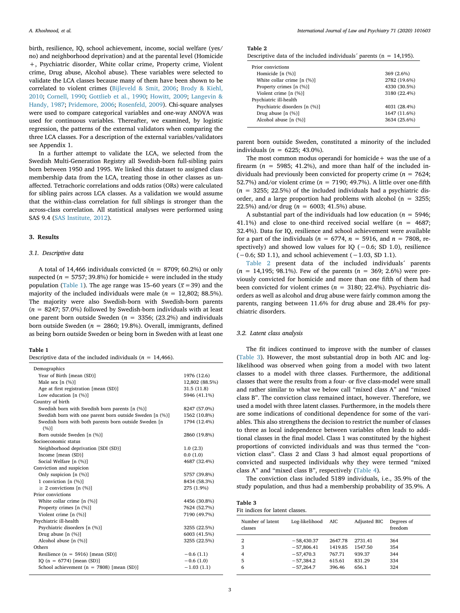birth, resilience, IQ, school achievement, income, social welfare (yes/ no) and neighborhood deprivation) and at the parental level (Homicide +, Psychiatric disorder, White collar crime, Property crime, Violent crime, Drug abuse, Alcohol abuse). These variables were selected to validate the LCA classes because many of them have been shown to be correlated to violent crimes [\(Bijleveld & Smit, 2006;](#page-6-4) [Brody & Kiehl,](#page-6-15) [2010;](#page-6-15) [Cornell, 1990](#page-6-16); [Gottlieb et al., 1990](#page-6-5); [Howitt, 2009](#page-6-17); [Langevin &](#page-7-7) [Handy, 1987;](#page-7-7) [Pridemore, 2006](#page-7-8); [Rosenfeld, 2009\)](#page-7-15). Chi-square analyses were used to compare categorical variables and one-way ANOVA was used for continuous variables. Thereafter, we examined, by logistic regression, the patterns of the external validators when comparing the three LCA classes. For a description of the external variables/validators see Appendix 1.

In a further attempt to validate the LCA, we selected from the Swedish Multi-Generation Registry all Swedish-born full-sibling pairs born between 1950 and 1995. We linked this dataset to assigned class membership data from the LCA, treating those in other classes as unaffected. Tetrachoric correlations and odds ratios (ORs) were calculated for sibling pairs across LCA classes. As a validation we would assume that the within-class correlation for full siblings is stronger than the across-class correlation. All statistical analyses were performed using SAS 9.4 ([SAS Institute, 2012](#page-6-18)).

#### 3. Results

## 3.1. Descriptive data

A total of 14,466 individuals convicted ( $n = 8709$ ; 60.2%) or only suspected ( $n = 5757$ ; 39.8%) for homicide + were included in the study population [\(Table 1](#page-2-0)). The age range was 15–60 years ( $\overline{x}$  = 39) and the majority of the included individuals were male ( $n = 12,802; 88.5\%$ ). The majority were also Swedish-born with Swedish-born parents  $(n = 8247; 57.0\%)$  followed by Swedish-born individuals with at least one parent born outside Sweden ( $n = 3356$ ; (23.2%) and individuals born outside Sweden ( $n = 2860$ ; 19.8%). Overall, immigrants, defined as being born outside Sweden or being born in Sweden with at least one

#### <span id="page-2-0"></span>Table 1

Descriptive data of the included individuals ( $n = 14,466$ ).

| Demographics                                             |                |
|----------------------------------------------------------|----------------|
| Year of Birth [mean (SD)]                                | 1976 (12.6)    |
| Male sex $[n (%)]$                                       | 12,802 (88.5%) |
| Age at first registration [mean (SD)]                    | 31.5(11.8)     |
| Low education $[n (%)]$                                  | 5946 (41.1%)   |
| Country of birth                                         |                |
| Swedish born with Swedish born parents [n (%)]           | 8247 (57.0%)   |
| Swedish born with one parent born outside Sweden [n (%)] | 1562 (10.8%)   |
| Swedish born with both parents born outside Sweden [n    | 1794 (12.4%)   |
| (%)]                                                     |                |
| Born outside Sweden [n (%)]                              | 2860 (19.8%)   |
| Socioeconomic status                                     |                |
| Neighborhood deprivation [SDI (SD)]                      | 1.0(2.3)       |
| Income [mean (SD)]                                       | 0.0(1.0)       |
| Social Welfare [n (%)]                                   | 4687 (32.4%)   |
| Conviction and suspicion                                 |                |
| Only suspicion [n (%)]                                   | 5757 (39.8%)   |
| 1 conviction $[n (%)]$                                   | 8434 (58.3%)   |
| $\geq$ 2 convictions [n (%)]                             | 275 (1.9%)     |
| Prior convictions                                        |                |
| White collar crime $[n (%)]$                             | 4456 (30.8%)   |
| Property crimes [n (%)]                                  | 7624 (52.7%)   |
| Violent crime [n (%)]                                    | 7190 (49.7%)   |
| Psychiatric ill-health                                   |                |
| Psychiatric disorders [n (%)]                            | 3255 (22.5%)   |
| Drug abuse [n (%)]                                       | 6003 (41.5%)   |
| Alcohol abuse [n (%)]                                    | 3255 (22.5%)   |
| Others                                                   |                |
| Resilience ( $n = 5916$ ) [mean (SD)]                    | $-0.6(1.1)$    |
| IQ ( $n = 6774$ ) [mean (SD)]                            | $-0.6(1.0)$    |
| School achievement ( $n = 7808$ ) [mean (SD)]            | $-1.03(1.1)$   |

<span id="page-2-1"></span>

| Descriptive data of the included individuals' parents ( $n = 14,195$ ). |  |
|-------------------------------------------------------------------------|--|
|-------------------------------------------------------------------------|--|

| Prior convictions             |              |
|-------------------------------|--------------|
| Homicide $[n (\%)]$           | 369 (2.6%)   |
| White collar crime $[n (%)]$  | 2782 (19.6%) |
| Property crimes [n (%)]       | 4330 (30.5%) |
| Violent crime $[n (%)]$       | 3180 (22.4%) |
| Psychiatric ill-health        |              |
| Psychiatric disorders [n (%)] | 4031 (28.4%) |
| Drug abuse $[n (%)]$          | 1647 (11.6%) |
| Alcohol abuse [n (%)]         | 3634 (25.6%) |

parent born outside Sweden, constituted a minority of the included individuals ( $n = 6225$ ; 43.0%).

The most common modus operandi for homicide  $+$  was the use of a firearm ( $n = 5985$ ; 41.2%), and more than half of the included individuals had previously been convicted for property crime ( $n = 7624$ ; 52.7%) and/or violent crime ( $n = 7190$ ; 49.7%). A little over one-fifth  $(n = 3255; 22.5%)$  of the included individuals had a psychiatric disorder, and a large proportion had problems with alcohol ( $n = 3255$ ; 22.5%) and/or drug ( $n = 6003$ ; 41.5%) abuse.

A substantial part of the individuals had low education ( $n = 5946$ ; 41.1%) and close to one-third received social welfare ( $n = 4687$ ; 32.4%). Data for IQ, resilience and school achievement were available for a part of the individuals ( $n = 6774$ ,  $n = 5916$ , and  $n = 7808$ , respectively) and showed low values for IQ (−0.6; SD 1.0), resilience (−0.6; SD 1.1), and school achievement (−1.03, SD 1.1).

[Table 2](#page-2-1) present data of the included individuals´ parents  $(n = 14,195; 98.1\%)$ . Few of the parents  $(n = 369; 2.6\%)$  were previously convicted for homicide and more than one fifth of them had been convicted for violent crimes ( $n = 3180$ ; 22.4%). Psychiatric disorders as well as alcohol and drug abuse were fairly common among the parents, ranging between 11.6% for drug abuse and 28.4% for psychiatric disorders.

## 3.2. Latent class analysis

The fit indices continued to improve with the number of classes ([Table 3](#page-2-2)). However, the most substantial drop in both AIC and loglikelihood was observed when going from a model with two latent classes to a model with three classes. Furthermore, the additional classes that were the results from a four- or five class-model were small and rather similar to what we below call "mixed class A" and "mixed class B". The conviction class remained intact, however. Therefore, we used a model with three latent classes. Furthermore, in the models there are some indications of conditional dependence for some of the variables. This also strengthens the decision to restrict the number of classes to three as local independence between variables often leads to additional classes in the final model. Class 1 was constituted by the highest proportions of convicted individuals and was thus termed the "conviction class". Class 2 and Class 3 had almost equal proportions of convicted and suspected individuals why they were termed "mixed class A" and "mixed class B", respectively [\(Table 4\)](#page-3-0).

The conviction class included 5189 individuals, i.e., 35.9% of the study population, and thus had a membership probability of 35.9%. A

<span id="page-2-2"></span>

| Table 3                         |  |
|---------------------------------|--|
| Fit indices for latent classes. |  |

| Number of latent<br>classes | Log-likelihood | AIC     | Adjusted BIC | Degrees of<br>freedom |
|-----------------------------|----------------|---------|--------------|-----------------------|
| 2                           | $-58,430.37$   | 2647.78 | 2731.41      | 364                   |
| 3                           | $-57,806.41$   | 1419.85 | 1547.50      | 354                   |
| 4                           | $-57,470.3$    | 767.71  | 939.37       | 344                   |
| 5                           | $-57,384.2$    | 615.61  | 831.29       | 334                   |
| 6                           | $-57,264.7$    | 396.46  | 656.1        | 324                   |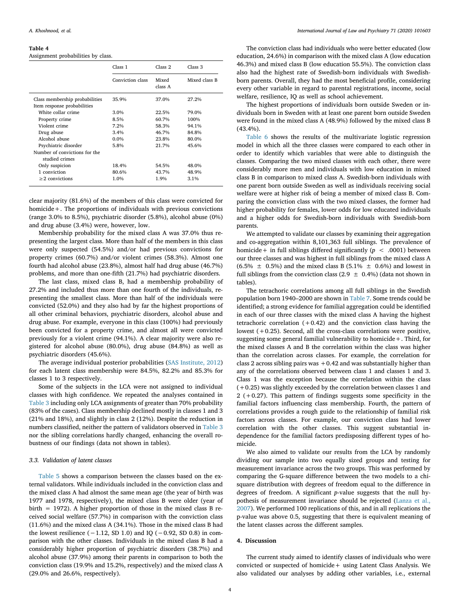#### <span id="page-3-0"></span>Table 4

Assignment probabilities by class.

|                                                               | Class 1          | Class 2          | Class 3       |
|---------------------------------------------------------------|------------------|------------------|---------------|
|                                                               | Conviction class | Mixed<br>class A | Mixed class B |
| Class membership probabilities<br>Item response probabilities | 35.9%            | 37.0%            | 27.2%         |
| White collar crime                                            | 3.0%             | 22.5%            | 79.0%         |
| Property crime                                                | 8.5%             | 60.7%            | 100%          |
| Violent crime                                                 | 7.2%             | 58.3%            | 94.1%         |
| Drug abuse                                                    | 3.4%             | 46.7%            | 84.8%         |
| Alcohol abuse                                                 | $0.0\%$          | 23.8%            | 80.0%         |
| Psychiatric disorder                                          | 5.8%             | 21.7%            | 45.6%         |
| Number of convictions for the<br>studied crimes               |                  |                  |               |
| Only suspicion                                                | 18.4%            | 54.5%            | 48.0%         |
| 1 conviction                                                  | 80.6%            | 43.7%            | 48.9%         |
| $\geq$ 2 convictions                                          | 1.0%             | 1.9%             | 3.1%          |

clear majority (81.6%) of the members of this class were convicted for homicide+. The proportions of individuals with previous convictions (range 3.0% to 8.5%), psychiatric disorder (5.8%), alcohol abuse (0%) and drug abuse (3.4%) were, however, low.

Membership probability for the mixed class A was 37.0% thus representing the largest class. More than half of the members in this class were only suspected (54.5%) and/or had previous convictions for property crimes (60.7%) and/or violent crimes (58.3%). Almost one fourth had alcohol abuse (23.8%), almost half had drug abuse (46.7%) problems, and more than one-fifth (21.7%) had psychiatric disorders.

The last class, mixed class B, had a membership probability of 27.2% and included thus more than one fourth of the individuals, representing the smallest class. More than half of the individuals were convicted (52.0%) and they also had by far the highest proportions of all other criminal behaviors, psychiatric disorders, alcohol abuse and drug abuse. For example, everyone in this class (100%) had previously been convicted for a property crime, and almost all were convicted previously for a violent crime (94.1%). A clear majority were also registered for alcohol abuse (80.0%), drug abuse (84.8%) as well as psychiatric disorders (45.6%).

The average individual posterior probabilities ([SAS Institute, 2012\)](#page-6-18) for each latent class membership were 84.5%, 82.2% and 85.3% for classes 1 to 3 respectively.

Some of the subjects in the LCA were not assigned to individual classes with high confidence. We repeated the analyses contained in [Table 3](#page-2-2) including only LCA assignments of greater than 70% probability (83% of the cases). Class membership declined mostly in classes 1 and 3 (21% and 18%), and slightly in class 2 (12%). Despite the reduction in numbers classified, neither the pattern of validators observed in [Table 3](#page-2-2) nor the sibling correlations hardly changed, enhancing the overall robustness of our findings (data not shown in tables).

## 3.3. Validation of latent classes

[Table 5](#page-4-0) shows a comparison between the classes based on the external validators. While individuals included in the conviction class and the mixed class A had almost the same mean age (the year of birth was 1977 and 1978, respectively), the mixed class B were older (year of birth = 1972). A higher proportion of those in the mixed class B received social welfare (57.7%) in comparison with the conviction class (11.6%) and the mixed class A (34.1%). Those in the mixed class B had the lowest resilience  $(-1.12, SD 1.0)$  and IQ  $(-0.92, SD 0.8)$  in comparison with the other classes. Individuals in the mixed class B had a considerably higher proportion of psychiatric disorders (38.7%) and alcohol abuse (37.9%) among their parents in comparison to both the conviction class (19.9% and 15.2%, respectively) and the mixed class A (29.0% and 26.6%, respectively).

The conviction class had individuals who were better educated (low education, 24.6%) in comparison with the mixed class A (low education 46.3%) and mixed class B (low education 55.5%). The conviction class also had the highest rate of Swedish-born individuals with Swedishborn parents. Overall, they had the most beneficial profile, considering every other variable in regard to parental registrations, income, social welfare, resilience, IQ as well as school achievement.

The highest proportions of individuals born outside Sweden or individuals born in Sweden with at least one parent born outside Sweden were found in the mixed class A (48.9%) followed by the mixed class B (43.4%).

[Table 6](#page-4-1) shows the results of the multivariate logistic regression model in which all the three classes were compared to each other in order to identify which variables that were able to distinguish the classes. Comparing the two mixed classes with each other, there were considerably more men and individuals with low education in mixed class B in comparison to mixed class A. Swedish-born individuals with one parent born outside Sweden as well as individuals receiving social welfare were at higher risk of being a member of mixed class B. Comparing the conviction class with the two mixed classes, the former had higher probability for females, lower odds for low educated individuals and a higher odds for Swedish-born individuals with Swedish-born parents.

We attempted to validate our classes by examining their aggregation and co-aggregation within 8,101,363 full siblings. The prevalence of homicide + in full siblings differed significantly ( $p < .0001$ ) between our three classes and was highest in full siblings from the mixed class A  $(6.5\% \pm 0.5\%)$  and the mixed class B (5.1%  $\pm$  0.6%) and lowest in full siblings from the conviction class (2.9  $\pm$  0.4%) (data not shown in tables).

The tetrachoric correlations among all full siblings in the Swedish population born 1940–2000 are shown in [Table 7](#page-4-2). Some trends could be identified; a strong evidence for familial aggregation could be identified in each of our three classes with the mixed class A having the highest tetrachoric correlation  $(+0.42)$  and the conviction class having the lowest (+0.25). Second, all the cross-class correlations were positive, suggesting some general familial vulnerability to homicide+. Third, for the mixed classes A and B the correlation within the class was higher than the correlation across classes. For example, the correlation for class 2 across sibling pairs was  $+0.42$  and was substantially higher than any of the correlations observed between class 1 and classes 1 and 3. Class 1 was the exception because the correlation within the class (+0.25) was slightly exceeded by the correlation between classes 1 and 2 ( $+0.27$ ). This pattern of findings suggests some specificity in the familial factors influencing class membership. Fourth, the pattern of correlations provides a rough guide to the relationship of familial risk factors across classes. For example, our conviction class had lower correlation with the other classes. This suggest substantial independence for the familial factors predisposing different types of homicide.

We also aimed to validate our results from the LCA by randomly dividing our sample into two equally sized groups and testing for measurement invariance across the two groups. This was performed by comparing the G-square difference between the two models to a chisquare distribution with degrees of freedom equal to the difference in degrees of freedom. A significant p-value suggests that the null hypothesis of measurement invariance should be rejected ([Lanza et al.,](#page-7-17) [2007\)](#page-7-17). We performed 100 replications of this, and in all replications the p-value was above 0.5, suggesting that there is equivalent meaning of the latent classes across the different samples.

#### 4. Discussion

The current study aimed to identify classes of individuals who were convicted or suspected of homicide+ using Latent Class Analysis. We also validated our analyses by adding other variables, i.e., external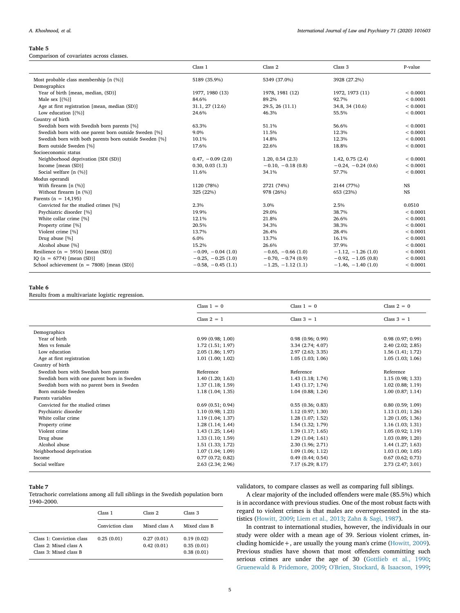#### <span id="page-4-0"></span>Table 5

Comparison of covariates across classes.

|                                                        | Class 1              | Class <sub>2</sub>  | Class 3              | P-value      |
|--------------------------------------------------------|----------------------|---------------------|----------------------|--------------|
|                                                        |                      |                     |                      |              |
| Most probable class membership [n (%)]                 | 5189 (35.9%)         | 5349 (37.0%)        | 3928 (27.2%)         |              |
| Demographics                                           |                      |                     |                      |              |
| Year of birth [mean, median, (SD)]                     | 1977, 1980 (13)      | 1978, 1981 (12)     | 1972, 1973 (11)      | ${}< 0.0001$ |
| Male sex $(%)$ ]                                       | 84.6%                | 89.2%               | 92.7%                | < 0.0001     |
| Age at first registration [mean, median (SD)]          | 31.1, 27 (12.6)      | 29.5, 26 (11.1)     | 34.8, 34 (10.6)      | < 0.0001     |
| Low education $[$ (%)]                                 | 24.6%                | 46.3%               | 55.5%                | < 0.0001     |
| Country of birth                                       |                      |                     |                      |              |
| Swedish born with Swedish born parents [%]             | 63.3%                | 51.1%               | 56.6%                | ${}< 0.0001$ |
| Swedish born with one parent born outside Sweden [%]   | 9.0%                 | 11.5%               | 12.3%                | < 0.0001     |
| Swedish born with both parents born outside Sweden [%] | 10.1%                | 14.8%               | 12.3%                | < 0.0001     |
| Born outside Sweden [%]                                | 17.6%                | 22.6%               | 18.8%                | < 0.0001     |
| Socioeconomic status                                   |                      |                     |                      |              |
| Neighborhood deprivation [SDI (SD)]                    | $0.47, -0.09(2.0)$   | 1.20, 0.54(2.3)     | 1.42, 0.75(2.4)      | < 0.0001     |
| Income [mean (SD)]                                     | 0.30, 0.03(1.3)      | $-0.10, -0.18(0.8)$ | $-0.24, -0.24$ (0.6) | < 0.0001     |
| Social welfare [n (%)]                                 | 11.6%                | 34.1%               | 57.7%                | < 0.0001     |
| Modus operandi                                         |                      |                     |                      |              |
| With firearm $[n (%)]$                                 | 1120 (78%)           | 2721 (74%)          | 2144 (77%)           | <b>NS</b>    |
| Without firearm $[n (%)]$                              | 325 (22%)            | 978 (26%)           | 653 (23%)            | <b>NS</b>    |
| Parents ( $n = 14,195$ )                               |                      |                     |                      |              |
| Convicted for the studied crimes [%]                   | 2.3%                 | 3.0%                | 2.5%                 | 0.0510       |
| Psychiatric disorder [%]                               | 19.9%                | 29.0%               | 38.7%                | < 0.0001     |
| White collar crime [%]                                 | 12.1%                | 21.8%               | 26.6%                | < 0.0001     |
| Property crime [%]                                     | 20.5%                | 34.3%               | 38.3%                | < 0.0001     |
| Violent crime [%]                                      | 13.7%                | 26.4%               | 28.4%                | < 0.0001     |
| Drug abuse [%]                                         | 6.0%                 | 13.7%               | 16.1%                | < 0.0001     |
| Alcohol abuse [%]                                      | 15.2%                | 26.6%               | 37.9%                | < 0.0001     |
| Resilience ( $n = 5916$ ) [mean (SD)]                  | $-0.09, -0.04(1.0)$  | $-0.65, -0.66(1.0)$ | $-1.12, -1.26$ (1.0) | < 0.0001     |
| IQ ( $n = 6774$ ) [mean (SD)]                          | $-0.25, -0.25$ (1.0) | $-0.70, -0.74(0.9)$ | $-0.92, -1.05(0.8)$  | < 0.0001     |
| School achievement ( $n = 7808$ ) [mean (SD)]          | $-0.58, -0.45(1.1)$  | $-1.25, -1.12(1.1)$ | $-1.46, -1.40$ (1.0) | < 0.0001     |
|                                                        |                      |                     |                      |              |

## <span id="page-4-1"></span>Table 6

Results from a multivariate logistic regression.

|                                             | Class $1 = 0$     | Class $1 = 0$     | Class $2 = 0$     |
|---------------------------------------------|-------------------|-------------------|-------------------|
|                                             | Class $2 = 1$     | Class $3 = 1$     | Class $3 = 1$     |
| Demographics                                |                   |                   |                   |
| Year of birth                               | 0.99(0.98; 1.00)  | 0.98(0.96; 0.99)  | 0.98(0.97; 0.99)  |
| Men vs female                               | 1.72(1.51; 1.97)  | 3.34 (2.74; 4.07) | 2.40(2.02; 2.85)  |
| Low education                               | 2.05(1.86; 1.97)  | 2.97 (2.63; 3.35) | 1.56(1.41; 1.72)  |
| Age at first registration                   | 1.01(1.00; 1.02)  | 1.05(1.03; 1.06)  | 1.05(1.03; 1.06)  |
| Country of birth                            |                   |                   |                   |
| Swedish born with Swedish born parents      | Reference         | Reference         | Reference         |
| Swedish born with one parent born in Sweden | 1.40(1.20; 1.63)  | 1.43(1.18; 1.74)  | 1.15(0.98; 1.33)  |
| Swedish born with no parent born in Sweden  | 1.37(1.18; 1.59)  | 1.43 (1.17; 1.74) | 1.02(0.88; 1.19)  |
| Born outside Sweden                         | 1.18(1.04; 1.35)  | 1.04(0.88; 1.24)  | 1.00(0.87; 1.14)  |
| Parents variables                           |                   |                   |                   |
| Convicted for the studied crimes            | 0.69(0.51; 0.94)  | 0.55(0.36; 0.83)  | 0.80(0.59; 1.09)  |
| Psychiatric disorder                        | 1.10(0.98; 1.23)  | 1.12(0.97; 1.30)  | 1.13(1.01; 1.26)  |
| White collar crime                          | 1.19(1.04; 1.37)  | 1.28(1.07; 1.52)  | 1.20(1.05; 1.36)  |
| Property crime                              | 1.28(1.14; 1.44)  | 1.54(1.32; 1.79)  | 1.16(1.03; 1.31)  |
| Violent crime                               | 1.43(1.25; 1.64)  | 1.39(1.17; 1.65)  | 1.05(0.92; 1.19)  |
| Drug abuse                                  | 1.33(1.10; 1.59)  | 1.29(1.04; 1.61)  | 1.03(0.89; 1.20)  |
| Alcohol abuse                               | 1.51(1.33; 1.72)  | 2.30 (1.96; 2.71) | 1.44(1.27; 1.63)  |
| Neighborhood deprivation                    | 1.07(1.04; 1.09)  | 1.09(1.06; 1.12)  | 1.03(1.00; 1.05)  |
| Income                                      | 0.77(0.72; 0.82)  | 0.49(0.44; 0.54)  | 0.67(0.62; 0.73)  |
| Social welfare                              | 2.63 (2.34; 2.96) | 7.17 (6.29; 8.17) | 2.73 (2.47; 3.01) |

## <span id="page-4-2"></span>Table 7

Tetrachoric correlations among all full siblings in the Swedish population born 1940–2000.

|                                                                               | Class 1          | Class 2                  | Class 3                                |
|-------------------------------------------------------------------------------|------------------|--------------------------|----------------------------------------|
|                                                                               | Conviction class | Mixed class A            | Mixed class B                          |
| Class 1: Conviction class<br>Class 2: Mixed class A<br>Class 3: Mixed class B | 0.25(0.01)       | 0.27(0.01)<br>0.42(0.01) | 0.19(0.02)<br>0.35(0.01)<br>0.38(0.01) |

validators, to compare classes as well as comparing full siblings.

A clear majority of the included offenders were male (85.5%) which is in accordance with previous studies. One of the most robust facts with regard to violent crimes is that males are overrepresented in the statistics ([Howitt, 2009;](#page-6-17) [Liem et al., 2013](#page-7-13); [Zahn & Sagi, 1987\)](#page-7-11).

In contrast to international studies, however, the individuals in our study were older with a mean age of 39. Serious violent crimes, including homicide+, are usually the young man's crime ([Howitt, 2009](#page-6-17)). Previous studies have shown that most offenders committing such serious crimes are under the age of 30 [\(Gottlieb et al., 1990](#page-6-5); [Gruenewald & Pridemore, 2009;](#page-6-6) [O'Brien, Stockard, & Isaacson, 1999](#page-7-18);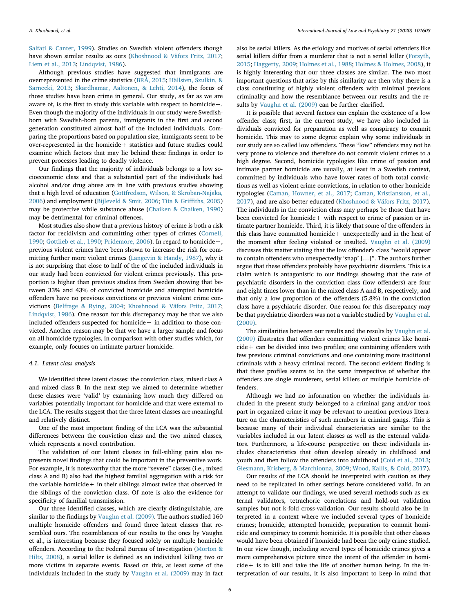[Salfati & Canter, 1999\)](#page-7-9). Studies on Swedish violent offenders though have shown similar results as ours [\(Khoshnood & Väfors Fritz, 2017](#page-7-12); [Liem et al., 2013](#page-7-13); [Lindqvist, 1986\)](#page-7-19).

Although previous studies have suggested that immigrants are overrepresented in the crime statistics ([BRÅ, 2015;](#page-6-19) [Hällsten, Szulkin, &](#page-6-20) [Sarnecki, 2013;](#page-6-20) [Skardhamar, Aaltonen, & Lehti, 2014\)](#page-7-20), the focus of those studies have been crime in general. Our study, as far as we are aware of, is the first to study this variable with respect to homicide  $+$ . Even though the majority of the individuals in our study were Swedishborn with Swedish-born parents, immigrants in the first and second generation constituted almost half of the included individuals. Comparing the proportions based on population size, immigrants seem to be over-represented in the homicide+ statistics and future studies could examine which factors that may lie behind these findings in order to prevent processes leading to deadly violence.

Our findings that the majority of individuals belongs to a low socioeconomic class and that a substantial part of the individuals had alcohol and/or drug abuse are in line with previous studies showing that a high level of education ([Gottfredson, Wilson, & Skroban-Najaka,](#page-6-21) [2006\)](#page-6-21) and employment ([Bijleveld & Smit, 2006](#page-6-4); [Tita & Gri](#page-7-21)ffiths, 2005) may be protective while substance abuse ([Chaiken & Chaiken, 1990\)](#page-6-22) may be detrimental for criminal offences.

Most studies also show that a previous history of crime is both a risk factor for recidivism and committing other types of crimes ([Cornell,](#page-6-16) [1990;](#page-6-16) [Gottlieb et al., 1990;](#page-6-5) [Pridemore, 2006](#page-7-8)). In regard to homicide+, previous violent crimes have been shown to increase the risk for committing further more violent crimes [\(Langevin & Handy, 1987](#page-7-7)), why it is not surprising that close to half of the of the included individuals in our study had been convicted for violent crimes previously. This proportion is higher than previous studies from Sweden showing that between 33% and 43% of convicted homicide and attempted homicide offenders have no previous convictions or previous violent crime convictions [\(Belfrage & Rying, 2004;](#page-6-10) [Khoshnood & Väfors Fritz, 2017](#page-7-12); [Lindqvist, 1986](#page-7-19)). One reason for this discrepancy may be that we also included offenders suspected for homicide+ in addition to those convicted. Another reason may be that we have a larger sample and focus on all homicide typologies, in comparison with other studies which, for example, only focuses on intimate partner homicide.

#### 4.1. Latent class analysis

We identified three latent classes: the conviction class, mixed class A and mixed class B. In the next step we aimed to determine whether these classes were 'valid' by examining how much they differed on variables potentially important for homicide and that were external to the LCA. The results suggest that the three latent classes are meaningful and relatively distinct.

One of the most important finding of the LCA was the substantial differences between the conviction class and the two mixed classes, which represents a novel contribution.

The validation of our latent classes in full-sibling pairs also represents novel findings that could be important in the preventive work. For example, it is noteworthy that the more "severe" classes (i.e., mixed class A and B) also had the highest familial aggregation with a risk for the variable homicide  $+$  in their siblings almost twice that observed in the siblings of the conviction class. Of note is also the evidence for specificity of familial transmission.

Our three identified classes, which are clearly distinguishable, are similar to the findings by [Vaughn et al. \(2009\).](#page-7-10) The authors studied 160 multiple homicide offenders and found three latent classes that resembled ours. The resemblances of our results to the ones by Vaughn et al., is interesting because they focused solely on multiple homicide offenders. According to the Federal Bureau of Investigation [\(Morton &](#page-7-22) [Hilts, 2008\)](#page-7-22), a serial killer is defined as an individual killing two or more victims in separate events. Based on this, at least some of the individuals included in the study by [Vaughn et al. \(2009\)](#page-7-10) may in fact also be serial killers. As the etiology and motives of serial offenders like serial killers differ from a murderer that is not a serial killer ([Forsyth,](#page-6-23) [2015;](#page-6-23) [Haggerty, 2009](#page-6-7); [Holmes et al., 1988;](#page-6-8) [Holmes & Holmes, 2008](#page-6-9)), it is highly interesting that our three classes are similar. The two most important questions that arise by this similarity are then why there is a class constituting of highly violent offenders with minimal previous criminality and how the resemblance between our results and the results by [Vaughn et al. \(2009\)](#page-7-10) can be further clarified.

It is possible that several factors can explain the existence of a low offender class; first, in the current study, we have also included individuals convicted for preparation as well as conspiracy to commit homicide. This may to some degree explain why some individuals in our study are so called low offenders. These "low" offenders may not be very prone to violence and therefore do not commit violent crimes to a high degree. Second, homicide typologies like crime of passion and intimate partner homicide are usually, at least in a Swedish context, committed by individuals who have lower rates of both total convictions as well as violent crime convictions, in relation to other homicide typologies ([Caman, Howner, et al., 2017;](#page-6-11) [Caman, Kristiansson, et al.,](#page-6-12) [2017\)](#page-6-12), and are also better educated [\(Khoshnood & Väfors Fritz, 2017](#page-7-12)). The individuals in the conviction class may perhaps be those that have been convicted for homicide+ with respect to crime of passion or intimate partner homicide. Third, it is likely that some of the offenders in this class have committed homicide+ unexpectedly and in the heat of the moment after feeling violated or insulted. [Vaughn et al. \(2009\)](#page-7-10) discusses this matter stating that the low offender's class "would appear to contain offenders who unexpectedly 'snap' […]". The authors further argue that these offenders probably have psychiatric disorders. This is a claim which is antagonistic to our findings showing that the rate of psychiatric disorders in the conviction class (low offenders) are four and eight times lower than in the mixed class A and B, respectively, and that only a low proportion of the offenders (5.8%) in the conviction class have a psychiatric disorder. One reason for this discrepancy may be that psychiatric disorders was not a variable studied by [Vaughn et al.](#page-7-10) [\(2009\).](#page-7-10)

The similarities between our results and the results by [Vaughn et al.](#page-7-10) [\(2009\)](#page-7-10) illustrates that offenders committing violent crimes like homicide+ can be divided into two profiles; one containing offenders with few previous criminal convictions and one containing more traditional criminals with a heavy criminal record. The second evident finding is that these profiles seems to be the same irrespective of whether the offenders are single murderers, serial killers or multiple homicide offenders.

Although we had no information on whether the individuals included in the present study belonged to a criminal gang and/or took part in organized crime it may be relevant to mention previous literature on the characteristics of such members in criminal gangs. This is because many of their individual characteristics are similar to the variables included in our latent classes as well as the external validators. Furthermore, a life-course perspective on these individuals includes characteristics that often develop already in childhood and youth and then follow the offenders into adulthood ([Coid et al., 2013](#page-6-24); [Glesmann, Krisberg, & Marchionna, 2009](#page-6-25); [Wood, Kallis, & Coid, 2017](#page-7-23)).

Our results of the LCA should be interpreted with caution as they need to be replicated in other settings before considered valid. In an attempt to validate our findings, we used several methods such as external validators, tetrachoric correlations and hold-out validation samples but not k-fold cross-validation. Our results should also be interpreted in a context where we included several types of homicide crimes; homicide, attempted homicide, preparation to commit homicide and conspiracy to commit homicide. It is possible that other classes would have been obtained if homicide had been the only crime studied. In our view though, including several types of homicide crimes gives a more comprehensive picture since the intent of the offender in homicide+ is to kill and take the life of another human being. In the interpretation of our results, it is also important to keep in mind that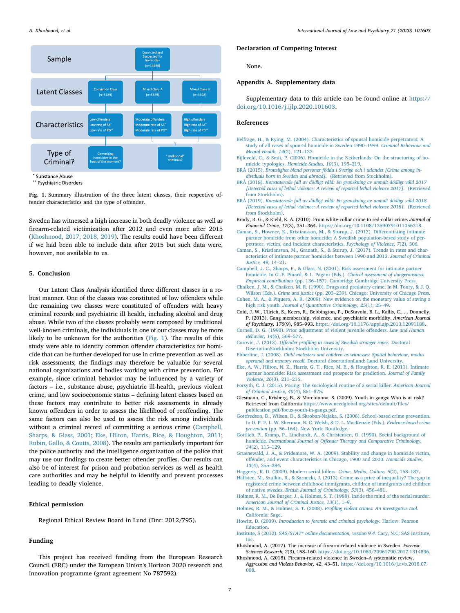<span id="page-6-26"></span>

Substance Abuse

\*\* Psychiatric Disorders

Fig. 1. Summary illustration of the three latent classes, their respective offender characteristics and the type of offender.

Sweden has witnessed a high increase in both deadly violence as well as firearm-related victimization after 2012 and even more after 2015 ([Khoshnood, 2017, 2018, 2019](#page-6-1)). The results could have been different if we had been able to include data after 2015 but such data were, however, not available to us.

## 5. Conclusion

Our Latent Class Analysis identified three different classes in a robust manner. One of the classes was constituted of low offenders while the remaining two classes were constituted of offenders with heavy criminal records and psychiatric ill health, including alcohol and drug abuse. While two of the classes probably were composed by traditional well-known criminals, the individuals in one of our classes may be more likely to be unknown for the authorities [\(Fig. 1](#page-6-26)). The results of this study were able to identify common offender characteristics for homicide that can be further developed for use in crime prevention as well as risk assessments; the findings may therefore be valuable for several national organizations and bodies working with crime prevention. For example, since criminal behavior may be influenced by a variety of factors – i.e., substance abuse, psychiatric ill-health, previous violent crime, and low socioeconomic status – defining latent classes based on these factors may contribute to better risk assessments in already known offenders in order to assess the likelihood of reoffending. The same factors can also be used to assess the risk among individuals without a criminal record of committing a serious crime [\(Campbell,](#page-6-27) [Sharps, & Glass, 2001;](#page-6-27) [Eke, Hilton, Harris, Rice, & Houghton, 2011](#page-6-28); [Rubin, Gallo, & Coutts, 2008\)](#page-7-24). The results are particularly important for the police authority and the intelligence organization of the police that may use our findings to create better offender profiles. Our results can also be of interest for prison and probation services as well as health care authorities and may be helpful to identify and prevent processes leading to deadly violence.

## Ethical permission

Regional Ethical Review Board in Lund (Dnr: 2012/795).

#### Funding

This project has received funding from the European Research Council (ERC) under the European Union's Horizon 2020 research and innovation programme (grant agreement No 787592).

#### Declaration of Competing Interest

None.

## Appendix A. Supplementary data

Supplementary data to this article can be found online at [https://](https://doi.org/10.1016/j.ijlp.2020.101603) [doi.org/10.1016/j.ijlp.2020.101603](https://doi.org/10.1016/j.ijlp.2020.101603).

## References

- <span id="page-6-10"></span>[Belfrage, H., & Rying, M. \(2004\). Characteristics of spousal homicide perpetrators: A](http://refhub.elsevier.com/S0160-2527(20)30062-5/rf0005) [study of all cases of spousal homicide in Sweden 1990](http://refhub.elsevier.com/S0160-2527(20)30062-5/rf0005)–1999. Criminal Behaviour and [Mental Health, 14](http://refhub.elsevier.com/S0160-2527(20)30062-5/rf0005)(2), 121–133.
- <span id="page-6-4"></span>[Bijleveld, C., & Smit, P. \(2006\). Homicide in the Netherlands: On the structuring of ho](http://refhub.elsevier.com/S0160-2527(20)30062-5/rf0010)micide typologies. [Homicide Studies, 10](http://refhub.elsevier.com/S0160-2527(20)30062-5/rf0010)(3), 195–219.
- <span id="page-6-19"></span>BRÅ (2015). [Brottslighet bland personer födda i Sverige och i utlandet \[Crime among in](http://refhub.elsevier.com/S0160-2527(20)30062-5/rf0015)[dividuals born in Sweden and abroad\].](http://refhub.elsevier.com/S0160-2527(20)30062-5/rf0015) (Retrieved from Stockholm).
- <span id="page-6-2"></span>BRÅ (2018). [Konstaterade fall av dödligt våld: En granskning av anmält dödligt våld 2017](http://refhub.elsevier.com/S0160-2527(20)30062-5/rf0020) [\[Detected cases of lethal violence: A review of reported lethal violence 2017\].](http://refhub.elsevier.com/S0160-2527(20)30062-5/rf0020) (Retrieved [from Stockholm\)](http://refhub.elsevier.com/S0160-2527(20)30062-5/rf0020).
- <span id="page-6-3"></span>BRÅ (2019). [Konstaterade fall av dödligt våld: En granskning av anmält dödligt våld 2018](http://refhub.elsevier.com/S0160-2527(20)30062-5/rf0025) [\[Detected cases of lethal violence: A review of reported lethal violence 2018\].](http://refhub.elsevier.com/S0160-2527(20)30062-5/rf0025) (Retrieved [from Stockholm\)](http://refhub.elsevier.com/S0160-2527(20)30062-5/rf0025).
- <span id="page-6-15"></span>Brody, R. G., & Kiehl, K. A. (2010). From white-collar crime to red-collar crime. Journal of Financial Crime, 17(3), 351–364. [https://doi.org/10.1108/13590791011056318.](https://doi.org/10.1108/13590791011056318)
- <span id="page-6-11"></span>[Caman, S., Howner, K., Kristiansson, M., & Sturup, J. \(2017\). Di](http://refhub.elsevier.com/S0160-2527(20)30062-5/rf0035)fferentiating intimate [partner homicide from other homicide: A Swedish population-based study of per](http://refhub.elsevier.com/S0160-2527(20)30062-5/rf0035)[petrator, victim, and incident characteristics.](http://refhub.elsevier.com/S0160-2527(20)30062-5/rf0035) Psychology of Violence, 7(2), 306.
- <span id="page-6-12"></span>[Caman, S., Kristiansson, M., Granath, S., & Sturup, J. \(2017\). Trends in rates and char](http://refhub.elsevier.com/S0160-2527(20)30062-5/rf0040)[acteristics of intimate partner homicides between 1990 and 2013.](http://refhub.elsevier.com/S0160-2527(20)30062-5/rf0040) Journal of Criminal [Justice, 49](http://refhub.elsevier.com/S0160-2527(20)30062-5/rf0040), 14–21.
- <span id="page-6-27"></span>[Campbell, J. C., Sharps, P., & Glass, N. \(2001\). Risk assessment for intimate partner](http://refhub.elsevier.com/S0160-2527(20)30062-5/rf0045) [homicide. In G.-F. Pinard, & L. Pagani \(Eds.\).](http://refhub.elsevier.com/S0160-2527(20)30062-5/rf0045) Clinical assessment of dangerousness: Empirical contributions (pp. 136–[157\). Cambridge Cambridge University Press](http://refhub.elsevier.com/S0160-2527(20)30062-5/rf0045).
- <span id="page-6-22"></span>[Chaiken, J. M., & Chaiken, M. R. \(1990\). Drugs and predatory crime. In M. Tonry, & J. Q.](http://refhub.elsevier.com/S0160-2527(20)30062-5/rf0050) Wilson (Eds.). Crime and justice (pp. 203–[239\). Chicago: University of Chicago Press.](http://refhub.elsevier.com/S0160-2527(20)30062-5/rf0050)
- <span id="page-6-0"></span>[Cohen, M. A., & Piquero, A. R. \(2009\). New evidence on the monetary value of saving a](http://refhub.elsevier.com/S0160-2527(20)30062-5/rf0055) high risk youth. [Journal of Quantitative Criminology, 25](http://refhub.elsevier.com/S0160-2527(20)30062-5/rf0055)(1), 25–49.
- <span id="page-6-24"></span>Coid, J. W., Ullrich, S., Keers, R., Bebbington, P., DeStavola, B. L., Kallis, C., ... Donnelly, P. (2013). Gang membership, violence, and psychiatric morbidity. American Journal of Psychiatry, 170(9), 985–993. <https://doi.org/10.1176/appi.ajp.2013.12091188>.
- <span id="page-6-16"></span>[Cornell, D. G. \(1990\). Prior adjustment of violent juvenile o](http://refhub.elsevier.com/S0160-2527(20)30062-5/rf0065)ffenders. Law and Human [Behavior, 14](http://refhub.elsevier.com/S0160-2527(20)30062-5/rf0065)(6), 569–577.
- <span id="page-6-13"></span>Corovic, J. (2013). Offender profi[ling in cases of Swedish stranger rapes.](http://refhub.elsevier.com/S0160-2527(20)30062-5/rf0070) Doctoral [DisertationStockholm: Stockholm University](http://refhub.elsevier.com/S0160-2527(20)30062-5/rf0070).
- <span id="page-6-14"></span>Ebberline, J. (2008). [Child molesters and children as witnesses: Spatial behaviour, modus](http://refhub.elsevier.com/S0160-2527(20)30062-5/rf0075) operandi and memory recall. [Doctoral dissertationLund: Lund University.](http://refhub.elsevier.com/S0160-2527(20)30062-5/rf0075)
- <span id="page-6-28"></span>[Eke, A. W., Hilton, N. Z., Harris, G. T., Rice, M. E., & Houghton, R. E. \(2011\). Intimate](http://refhub.elsevier.com/S0160-2527(20)30062-5/rf0080) [partner homicide: Risk assessment and prospects for prediction.](http://refhub.elsevier.com/S0160-2527(20)30062-5/rf0080) Journal of Family [Violence, 26](http://refhub.elsevier.com/S0160-2527(20)30062-5/rf0080)(3), 211–216.
- <span id="page-6-23"></span>[Forsyth, C. J. \(2015\). Posing: The sociological routine of a serial killer.](http://refhub.elsevier.com/S0160-2527(20)30062-5/rf0085) American Journal [of Criminal Justice, 40](http://refhub.elsevier.com/S0160-2527(20)30062-5/rf0085)(4), 861–875.
- <span id="page-6-25"></span>Glesmann, C., Krisberg, B., & Marchionna, S. (2009). Youth in gangs: Who is at risk? Retrieved from California [https://www.nccdglobal.org/sites/default/](https://www.nccdglobal.org/sites/default/files/publication_pdf/focus-youth-in-gangs.pdf)files/ [publication\\_pdf/focus-youth-in-gangs.pdf.](https://www.nccdglobal.org/sites/default/files/publication_pdf/focus-youth-in-gangs.pdf)
- <span id="page-6-21"></span>[Gottfredson, D., Wilson, D., & Skroban-Najaka, S. \(2006\). School-based crime prevention.](http://refhub.elsevier.com/S0160-2527(20)30062-5/rf0095) [In D. P. F. L. W. Sherman, B. C. Welsh, & D. L. MacKenzie \(Eds.\).](http://refhub.elsevier.com/S0160-2527(20)30062-5/rf0095) Evidence-based crime prevention (pp. 56–[164\). New York: Routledge.](http://refhub.elsevier.com/S0160-2527(20)30062-5/rf0095)
- <span id="page-6-5"></span>[Gottlieb, P., Kramp, P., Lindhardt, A., & Christensen, O. \(1990\). Social background of](http://refhub.elsevier.com/S0160-2527(20)30062-5/rf0100) homicide. International Journal of Off[ender Therapy and Comparative Criminology,](http://refhub.elsevier.com/S0160-2527(20)30062-5/rf0100) 34[\(2\), 115](http://refhub.elsevier.com/S0160-2527(20)30062-5/rf0100)–129.
- <span id="page-6-6"></span>[Gruenewald, J. A., & Pridemore, W. A. \(2009\). Stability and change in homicide victim,](http://refhub.elsevier.com/S0160-2527(20)30062-5/rf0105) off[ender, and event characteristics in Chicago, 1900 and 2000.](http://refhub.elsevier.com/S0160-2527(20)30062-5/rf0105) Homicide Studies, 13[\(4\), 355](http://refhub.elsevier.com/S0160-2527(20)30062-5/rf0105)–384.
- <span id="page-6-7"></span>[Haggerty, K. D. \(2009\). Modern serial killers.](http://refhub.elsevier.com/S0160-2527(20)30062-5/rf0110) Crime, Media, Culture, 5(2), 168–187.
- <span id="page-6-20"></span>[Hällsten, M., Szulkin, R., & Sarnecki, J. \(2013\). Crime as a price of inequality? The gap in](http://refhub.elsevier.com/S0160-2527(20)30062-5/rf0115) [registered crime between childhood immigrants, children of immigrants and children](http://refhub.elsevier.com/S0160-2527(20)30062-5/rf0115) of native swedes. [British Journal of Criminology, 53](http://refhub.elsevier.com/S0160-2527(20)30062-5/rf0115)(3), 456–481.
- <span id="page-6-8"></span>[Holmes, R. M., De Burger, J., & Holmes, S. T. \(1988\). Inside the mind of the serial murder.](http://refhub.elsevier.com/S0160-2527(20)30062-5/rf0120) [American Journal of Criminal Justice, 13](http://refhub.elsevier.com/S0160-2527(20)30062-5/rf0120)(1), 1–9.
- <span id="page-6-9"></span>[Holmes, R. M., & Holmes, S. T. \(2008\).](http://refhub.elsevier.com/S0160-2527(20)30062-5/rf0125) Profiling violent crimes: An investigative tool. [California: Sage](http://refhub.elsevier.com/S0160-2527(20)30062-5/rf0125).
- <span id="page-6-17"></span>Howitt, D. (2009). [Introduction to forensic and criminal psychology.](http://refhub.elsevier.com/S0160-2527(20)30062-5/rf0130) Harlow: Pearson [Education.](http://refhub.elsevier.com/S0160-2527(20)30062-5/rf0130)
- <span id="page-6-18"></span>Institute, S (2012). SAS/STAT® [online documentation, version 9.4.](http://refhub.elsevier.com/S0160-2527(20)30062-5/rf0135) Cary, N.C: SAS Institute, [Inc](http://refhub.elsevier.com/S0160-2527(20)30062-5/rf0135).
- <span id="page-6-1"></span>Khoshnood, A. (2017). The increase of firearm-related violence in Sweden. Forensic Sciences Research, 2(3), 158–160. [https://doi.org/10.1080/20961790.2017.1314896.](https://doi.org/10.1080/20961790.2017.1314896)
- Khoshnood, A. (2018). Firearm-related violence in Sweden–A systematic review. Aggression and Violent Behavior, 42, 43–51. [https://doi.org/10.1016/j.avb.2018.07.](https://doi.org/10.1016/j.avb.2018.07.008) [008](https://doi.org/10.1016/j.avb.2018.07.008).